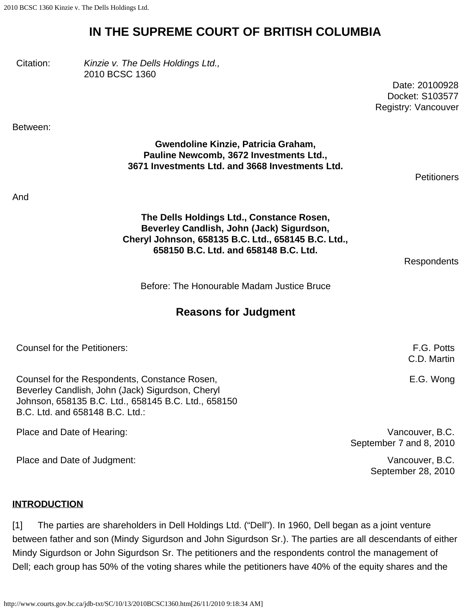# **IN THE SUPREME COURT OF BRITISH COLUMBIA**

Citation: *Kinzie v. The Dells Holdings Ltd.,* 2010 BCSC 1360

Date: 20100928 Docket: S103577 Registry: Vancouver

Between:

## **Gwendoline Kinzie, Patricia Graham, Pauline Newcomb, 3672 Investments Ltd., 3671 Investments Ltd. and 3668 Investments Ltd.**

**Petitioners** 

And

**The Dells Holdings Ltd., Constance Rosen, Beverley Candlish, John (Jack) Sigurdson, Cheryl Johnson, 658135 B.C. Ltd., 658145 B.C. Ltd., 658150 B.C. Ltd. and 658148 B.C. Ltd.**

Respondents

Before: The Honourable Madam Justice Bruce

# **Reasons for Judgment**

| Counsel for the Petitioners:                                                                      | F.G. Potts<br>C.D. Martin |
|---------------------------------------------------------------------------------------------------|---------------------------|
| Counsel for the Respondents, Constance Rosen,<br>Beverley Candlish, John (Jack) Sigurdson, Cheryl | E.G. Wong                 |

Place and Date of Hearing:  $\blacksquare$ September 7 and 8, 2010

Place and Date of Judgment:  $\blacksquare$ September 28, 2010

## **INTRODUCTION**

[1] The parties are shareholders in Dell Holdings Ltd. ("Dell"). In 1960, Dell began as a joint venture between father and son (Mindy Sigurdson and John Sigurdson Sr.). The parties are all descendants of either Mindy Sigurdson or John Sigurdson Sr. The petitioners and the respondents control the management of Dell; each group has 50% of the voting shares while the petitioners have 40% of the equity shares and the

Johnson, 658135 B.C. Ltd., 658145 B.C. Ltd., 658150

B.C. Ltd. and 658148 B.C. Ltd.: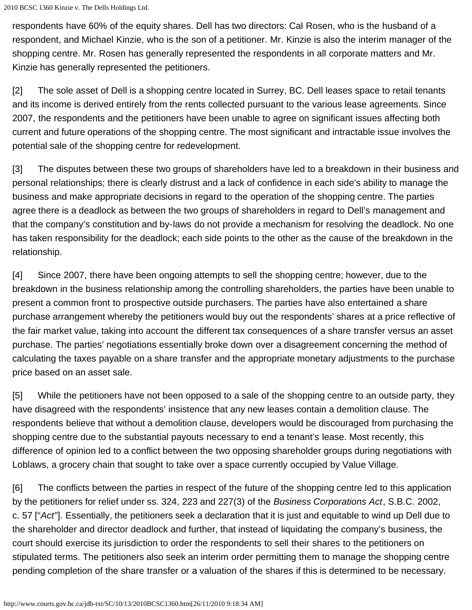respondents have 60% of the equity shares. Dell has two directors: Cal Rosen, who is the husband of a respondent, and Michael Kinzie, who is the son of a petitioner. Mr. Kinzie is also the interim manager of the shopping centre. Mr. Rosen has generally represented the respondents in all corporate matters and Mr. Kinzie has generally represented the petitioners.

[2] The sole asset of Dell is a shopping centre located in Surrey, BC. Dell leases space to retail tenants and its income is derived entirely from the rents collected pursuant to the various lease agreements. Since 2007, the respondents and the petitioners have been unable to agree on significant issues affecting both current and future operations of the shopping centre. The most significant and intractable issue involves the potential sale of the shopping centre for redevelopment.

[3] The disputes between these two groups of shareholders have led to a breakdown in their business and personal relationships; there is clearly distrust and a lack of confidence in each side's ability to manage the business and make appropriate decisions in regard to the operation of the shopping centre. The parties agree there is a deadlock as between the two groups of shareholders in regard to Dell's management and that the company's constitution and by-laws do not provide a mechanism for resolving the deadlock. No one has taken responsibility for the deadlock; each side points to the other as the cause of the breakdown in the relationship.

[4] Since 2007, there have been ongoing attempts to sell the shopping centre; however, due to the breakdown in the business relationship among the controlling shareholders, the parties have been unable to present a common front to prospective outside purchasers. The parties have also entertained a share purchase arrangement whereby the petitioners would buy out the respondents' shares at a price reflective of the fair market value, taking into account the different tax consequences of a share transfer versus an asset purchase. The parties' negotiations essentially broke down over a disagreement concerning the method of calculating the taxes payable on a share transfer and the appropriate monetary adjustments to the purchase price based on an asset sale.

[5] While the petitioners have not been opposed to a sale of the shopping centre to an outside party, they have disagreed with the respondents' insistence that any new leases contain a demolition clause. The respondents believe that without a demolition clause, developers would be discouraged from purchasing the shopping centre due to the substantial payouts necessary to end a tenant's lease. Most recently, this difference of opinion led to a conflict between the two opposing shareholder groups during negotiations with Loblaws, a grocery chain that sought to take over a space currently occupied by Value Village.

[6] The conflicts between the parties in respect of the future of the shopping centre led to this application by the petitioners for relief under ss. 324, 223 and 227(3) of the *Business Corporations Act*, S.B.C. 2002, c. 57 ["*Act*"]. Essentially, the petitioners seek a declaration that it is just and equitable to wind up Dell due to the shareholder and director deadlock and further, that instead of liquidating the company's business, the court should exercise its jurisdiction to order the respondents to sell their shares to the petitioners on stipulated terms. The petitioners also seek an interim order permitting them to manage the shopping centre pending completion of the share transfer or a valuation of the shares if this is determined to be necessary.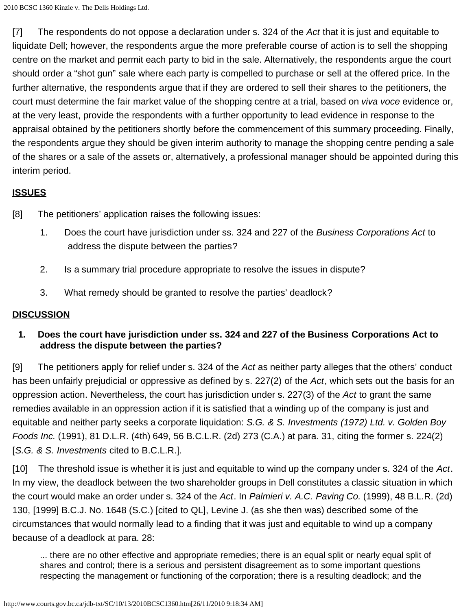[7] The respondents do not oppose a declaration under s. 324 of the *Act* that it is just and equitable to liquidate Dell; however, the respondents argue the more preferable course of action is to sell the shopping centre on the market and permit each party to bid in the sale. Alternatively, the respondents argue the court should order a "shot gun" sale where each party is compelled to purchase or sell at the offered price. In the further alternative, the respondents argue that if they are ordered to sell their shares to the petitioners, the court must determine the fair market value of the shopping centre at a trial, based on *viva voce* evidence or, at the very least, provide the respondents with a further opportunity to lead evidence in response to the appraisal obtained by the petitioners shortly before the commencement of this summary proceeding. Finally, the respondents argue they should be given interim authority to manage the shopping centre pending a sale of the shares or a sale of the assets or, alternatively, a professional manager should be appointed during this interim period.

# **ISSUES**

[8] The petitioners' application raises the following issues:

- 1. Does the court have jurisdiction under ss. 324 and 227 of the *Business Corporations Act* to address the dispute between the parties?
- 2. Is a summary trial procedure appropriate to resolve the issues in dispute?
- 3. What remedy should be granted to resolve the parties' deadlock?

## **DISCUSSION**

**1***.* **Does the court have jurisdiction under ss. 324 and 227 of the Business Corporations Act to address the dispute between the parties?**

[9] The petitioners apply for relief under s. 324 of the *Act* as neither party alleges that the others' conduct has been unfairly prejudicial or oppressive as defined by s. 227(2) of the *Act*, which sets out the basis for an oppression action. Nevertheless, the court has jurisdiction under s. 227(3) of the *Act* to grant the same remedies available in an oppression action if it is satisfied that a winding up of the company is just and equitable and neither party seeks a corporate liquidation: *S.G. & S. Investments (1972) Ltd. v. Golden Boy Foods Inc.* (1991), 81 D.L.R. (4th) 649, 56 B.C.L.R. (2d) 273 (C.A.) at para. 31, citing the former s. 224(2) [*S.G. & S. Investments* cited to B.C.L.R.].

[10] The threshold issue is whether it is just and equitable to wind up the company under s. 324 of the *Act*. In my view, the deadlock between the two shareholder groups in Dell constitutes a classic situation in which the court would make an order under s. 324 of the *Act*. In *Palmieri v. A.C. Paving Co.* (1999), 48 B.L.R. (2d) 130, [1999] B.C.J. No. 1648 (S.C.) [cited to QL], Levine J. (as she then was) described some of the circumstances that would normally lead to a finding that it was just and equitable to wind up a company because of a deadlock at para. 28:

... there are no other effective and appropriate remedies; there is an equal split or nearly equal split of shares and control; there is a serious and persistent disagreement as to some important questions respecting the management or functioning of the corporation; there is a resulting deadlock; and the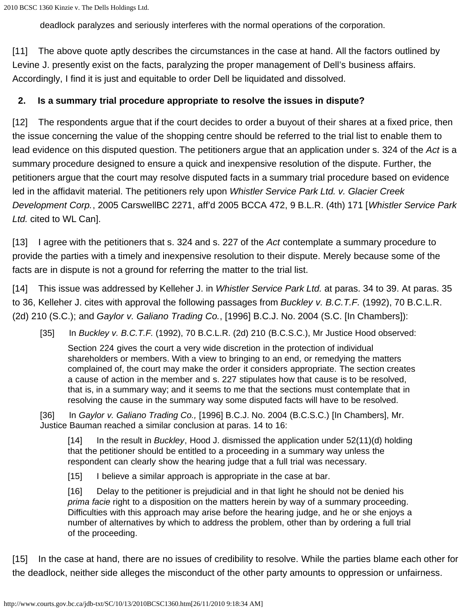deadlock paralyzes and seriously interferes with the normal operations of the corporation.

[11] The above quote aptly describes the circumstances in the case at hand. All the factors outlined by Levine J. presently exist on the facts, paralyzing the proper management of Dell's business affairs. Accordingly, I find it is just and equitable to order Dell be liquidated and dissolved.

## **2. Is a summary trial procedure appropriate to resolve the issues in dispute?**

[12] The respondents argue that if the court decides to order a buyout of their shares at a fixed price, then the issue concerning the value of the shopping centre should be referred to the trial list to enable them to lead evidence on this disputed question. The petitioners argue that an application under s. 324 of the *Act* is a summary procedure designed to ensure a quick and inexpensive resolution of the dispute. Further, the petitioners argue that the court may resolve disputed facts in a summary trial procedure based on evidence led in the affidavit material. The petitioners rely upon *Whistler Service Park Ltd. v. Glacier Creek Development Corp.*, 2005 CarswellBC 2271, aff'd 2005 BCCA 472, 9 B.L.R. (4th) 171 [*Whistler Service Park Ltd.* cited to WL Can].

[13] I agree with the petitioners that s. 324 and s. 227 of the *Act* contemplate a summary procedure to provide the parties with a timely and inexpensive resolution to their dispute. Merely because some of the facts are in dispute is not a ground for referring the matter to the trial list.

[14] This issue was addressed by Kelleher J. in *Whistler Service Park Ltd.* at paras. 34 to 39. At paras. 35 to 36, Kelleher J. cites with approval the following passages from *Buckley v. B.C.T.F.* (1992), 70 B.C.L.R. (2d) 210 (S.C.); and *Gaylor v. Galiano Trading Co.*, [1996] B.C.J. No. 2004 (S.C. [In Chambers]):

[35] In *Buckley v. B.C.T.F.* (1992), 70 B.C.L.R. (2d) 210 (B.C.S.C.), Mr Justice Hood observed:

Section 224 gives the court a very wide discretion in the protection of individual shareholders or members. With a view to bringing to an end, or remedying the matters complained of, the court may make the order it considers appropriate. The section creates a cause of action in the member and s. 227 stipulates how that cause is to be resolved, that is, in a summary way; and it seems to me that the sections must contemplate that in resolving the cause in the summary way some disputed facts will have to be resolved.

[36] In *Gaylor v. Galiano Trading Co.,* [1996] B.C.J. No. 2004 (B.C.S.C.) [In Chambers], Mr. Justice Bauman reached a similar conclusion at paras. 14 to 16:

[14] In the result in *Buckley*, Hood J. dismissed the application under 52(11)(d) holding that the petitioner should be entitled to a proceeding in a summary way unless the respondent can clearly show the hearing judge that a full trial was necessary.

[15] I believe a similar approach is appropriate in the case at bar.

[16] Delay to the petitioner is prejudicial and in that light he should not be denied his *prima facie* right to a disposition on the matters herein by way of a summary proceeding. Difficulties with this approach may arise before the hearing judge, and he or she enjoys a number of alternatives by which to address the problem, other than by ordering a full trial of the proceeding.

[15] In the case at hand, there are no issues of credibility to resolve. While the parties blame each other for the deadlock, neither side alleges the misconduct of the other party amounts to oppression or unfairness.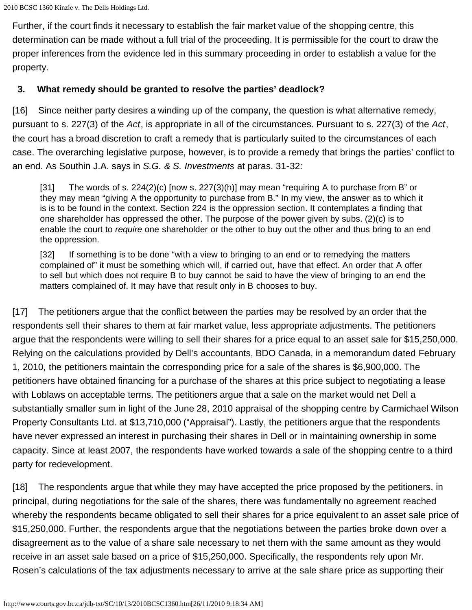Further, if the court finds it necessary to establish the fair market value of the shopping centre, this determination can be made without a full trial of the proceeding. It is permissible for the court to draw the proper inferences from the evidence led in this summary proceeding in order to establish a value for the property.

# **3. What remedy should be granted to resolve the parties' deadlock?**

[16] Since neither party desires a winding up of the company, the question is what alternative remedy, pursuant to s. 227(3) of the *Act*, is appropriate in all of the circumstances. Pursuant to s. 227(3) of the *Act*, the court has a broad discretion to craft a remedy that is particularly suited to the circumstances of each case. The overarching legislative purpose, however, is to provide a remedy that brings the parties' conflict to an end. As Southin J.A. says in *S.G. & S. Investments* at paras. 31-32:

[31] The words of s.  $224(2)(c)$  [now s.  $227(3)(h)$ ] may mean "requiring A to purchase from B" or they may mean "giving A the opportunity to purchase from B." In my view, the answer as to which it is is to be found in the context. Section 224 is the oppression section. It contemplates a finding that one shareholder has oppressed the other. The purpose of the power given by subs. (2)(c) is to enable the court to *require* one shareholder or the other to buy out the other and thus bring to an end the oppression.

[32] If something is to be done "with a view to bringing to an end or to remedying the matters complained of" it must be something which will, if carried out, have that effect. An order that A offer to sell but which does not require B to buy cannot be said to have the view of bringing to an end the matters complained of. It may have that result only in B chooses to buy.

[17] The petitioners argue that the conflict between the parties may be resolved by an order that the respondents sell their shares to them at fair market value, less appropriate adjustments. The petitioners argue that the respondents were willing to sell their shares for a price equal to an asset sale for \$15,250,000. Relying on the calculations provided by Dell's accountants, BDO Canada, in a memorandum dated February 1, 2010, the petitioners maintain the corresponding price for a sale of the shares is \$6,900,000. The petitioners have obtained financing for a purchase of the shares at this price subject to negotiating a lease with Loblaws on acceptable terms. The petitioners argue that a sale on the market would net Dell a substantially smaller sum in light of the June 28, 2010 appraisal of the shopping centre by Carmichael Wilson Property Consultants Ltd. at \$13,710,000 ("Appraisal"). Lastly, the petitioners argue that the respondents have never expressed an interest in purchasing their shares in Dell or in maintaining ownership in some capacity. Since at least 2007, the respondents have worked towards a sale of the shopping centre to a third party for redevelopment.

[18] The respondents argue that while they may have accepted the price proposed by the petitioners, in principal, during negotiations for the sale of the shares, there was fundamentally no agreement reached whereby the respondents became obligated to sell their shares for a price equivalent to an asset sale price of \$15,250,000. Further, the respondents argue that the negotiations between the parties broke down over a disagreement as to the value of a share sale necessary to net them with the same amount as they would receive in an asset sale based on a price of \$15,250,000. Specifically, the respondents rely upon Mr. Rosen's calculations of the tax adjustments necessary to arrive at the sale share price as supporting their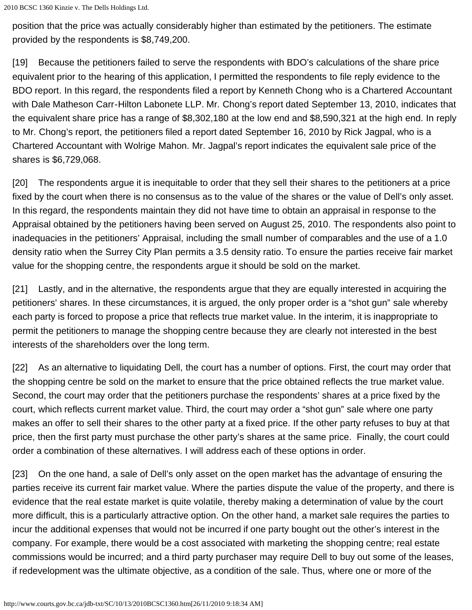position that the price was actually considerably higher than estimated by the petitioners. The estimate provided by the respondents is \$8,749,200.

[19] Because the petitioners failed to serve the respondents with BDO's calculations of the share price equivalent prior to the hearing of this application, I permitted the respondents to file reply evidence to the BDO report. In this regard, the respondents filed a report by Kenneth Chong who is a Chartered Accountant with Dale Matheson Carr-Hilton Labonete LLP. Mr. Chong's report dated September 13, 2010, indicates that the equivalent share price has a range of \$8,302,180 at the low end and \$8,590,321 at the high end. In reply to Mr. Chong's report, the petitioners filed a report dated September 16, 2010 by Rick Jagpal, who is a Chartered Accountant with Wolrige Mahon. Mr. Jagpal's report indicates the equivalent sale price of the shares is \$6,729,068.

[20] The respondents argue it is inequitable to order that they sell their shares to the petitioners at a price fixed by the court when there is no consensus as to the value of the shares or the value of Dell's only asset. In this regard, the respondents maintain they did not have time to obtain an appraisal in response to the Appraisal obtained by the petitioners having been served on August 25, 2010. The respondents also point to inadequacies in the petitioners' Appraisal, including the small number of comparables and the use of a 1.0 density ratio when the Surrey City Plan permits a 3.5 density ratio. To ensure the parties receive fair market value for the shopping centre, the respondents argue it should be sold on the market.

[21] Lastly, and in the alternative, the respondents argue that they are equally interested in acquiring the petitioners' shares. In these circumstances, it is argued, the only proper order is a "shot gun" sale whereby each party is forced to propose a price that reflects true market value. In the interim, it is inappropriate to permit the petitioners to manage the shopping centre because they are clearly not interested in the best interests of the shareholders over the long term.

[22] As an alternative to liquidating Dell, the court has a number of options. First, the court may order that the shopping centre be sold on the market to ensure that the price obtained reflects the true market value. Second, the court may order that the petitioners purchase the respondents' shares at a price fixed by the court, which reflects current market value. Third, the court may order a "shot gun" sale where one party makes an offer to sell their shares to the other party at a fixed price. If the other party refuses to buy at that price, then the first party must purchase the other party's shares at the same price. Finally, the court could order a combination of these alternatives. I will address each of these options in order.

[23] On the one hand, a sale of Dell's only asset on the open market has the advantage of ensuring the parties receive its current fair market value. Where the parties dispute the value of the property, and there is evidence that the real estate market is quite volatile, thereby making a determination of value by the court more difficult, this is a particularly attractive option. On the other hand, a market sale requires the parties to incur the additional expenses that would not be incurred if one party bought out the other's interest in the company. For example, there would be a cost associated with marketing the shopping centre; real estate commissions would be incurred; and a third party purchaser may require Dell to buy out some of the leases, if redevelopment was the ultimate objective, as a condition of the sale. Thus, where one or more of the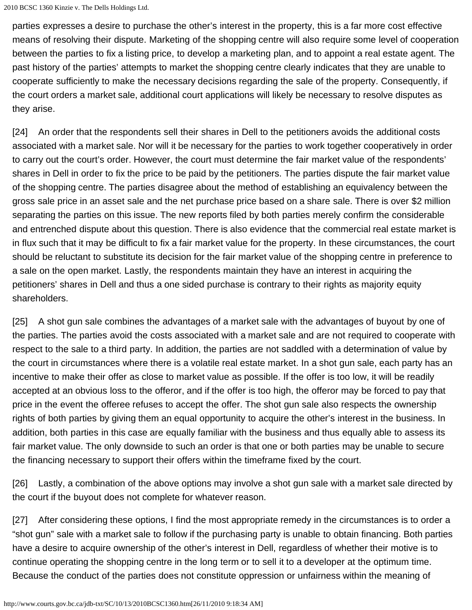parties expresses a desire to purchase the other's interest in the property, this is a far more cost effective means of resolving their dispute. Marketing of the shopping centre will also require some level of cooperation between the parties to fix a listing price, to develop a marketing plan, and to appoint a real estate agent. The past history of the parties' attempts to market the shopping centre clearly indicates that they are unable to cooperate sufficiently to make the necessary decisions regarding the sale of the property. Consequently, if the court orders a market sale, additional court applications will likely be necessary to resolve disputes as they arise.

[24] An order that the respondents sell their shares in Dell to the petitioners avoids the additional costs associated with a market sale. Nor will it be necessary for the parties to work together cooperatively in order to carry out the court's order. However, the court must determine the fair market value of the respondents' shares in Dell in order to fix the price to be paid by the petitioners. The parties dispute the fair market value of the shopping centre. The parties disagree about the method of establishing an equivalency between the gross sale price in an asset sale and the net purchase price based on a share sale. There is over \$2 million separating the parties on this issue. The new reports filed by both parties merely confirm the considerable and entrenched dispute about this question. There is also evidence that the commercial real estate market is in flux such that it may be difficult to fix a fair market value for the property. In these circumstances, the court should be reluctant to substitute its decision for the fair market value of the shopping centre in preference to a sale on the open market. Lastly, the respondents maintain they have an interest in acquiring the petitioners' shares in Dell and thus a one sided purchase is contrary to their rights as majority equity shareholders.

[25] A shot gun sale combines the advantages of a market sale with the advantages of buyout by one of the parties. The parties avoid the costs associated with a market sale and are not required to cooperate with respect to the sale to a third party. In addition, the parties are not saddled with a determination of value by the court in circumstances where there is a volatile real estate market. In a shot gun sale, each party has an incentive to make their offer as close to market value as possible. If the offer is too low, it will be readily accepted at an obvious loss to the offeror, and if the offer is too high, the offeror may be forced to pay that price in the event the offeree refuses to accept the offer. The shot gun sale also respects the ownership rights of both parties by giving them an equal opportunity to acquire the other's interest in the business. In addition, both parties in this case are equally familiar with the business and thus equally able to assess its fair market value. The only downside to such an order is that one or both parties may be unable to secure the financing necessary to support their offers within the timeframe fixed by the court.

[26] Lastly, a combination of the above options may involve a shot gun sale with a market sale directed by the court if the buyout does not complete for whatever reason.

[27] After considering these options, I find the most appropriate remedy in the circumstances is to order a "shot gun" sale with a market sale to follow if the purchasing party is unable to obtain financing. Both parties have a desire to acquire ownership of the other's interest in Dell, regardless of whether their motive is to continue operating the shopping centre in the long term or to sell it to a developer at the optimum time. Because the conduct of the parties does not constitute oppression or unfairness within the meaning of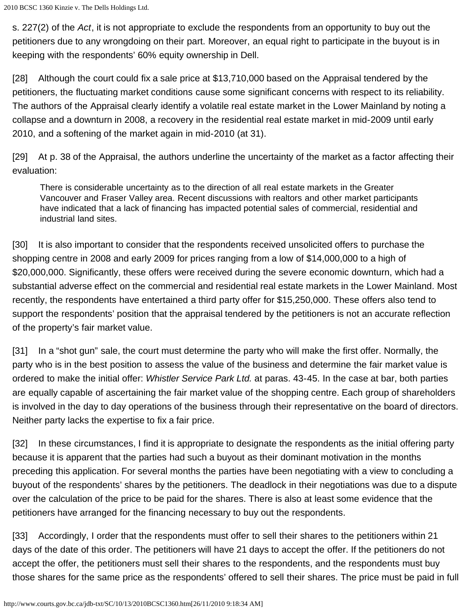s. 227(2) of the *Act*, it is not appropriate to exclude the respondents from an opportunity to buy out the petitioners due to any wrongdoing on their part. Moreover, an equal right to participate in the buyout is in keeping with the respondents' 60% equity ownership in Dell.

[28] Although the court could fix a sale price at \$13,710,000 based on the Appraisal tendered by the petitioners, the fluctuating market conditions cause some significant concerns with respect to its reliability. The authors of the Appraisal clearly identify a volatile real estate market in the Lower Mainland by noting a collapse and a downturn in 2008, a recovery in the residential real estate market in mid-2009 until early 2010, and a softening of the market again in mid-2010 (at 31).

[29] At p. 38 of the Appraisal, the authors underline the uncertainty of the market as a factor affecting their evaluation:

There is considerable uncertainty as to the direction of all real estate markets in the Greater Vancouver and Fraser Valley area. Recent discussions with realtors and other market participants have indicated that a lack of financing has impacted potential sales of commercial, residential and industrial land sites.

[30] It is also important to consider that the respondents received unsolicited offers to purchase the shopping centre in 2008 and early 2009 for prices ranging from a low of \$14,000,000 to a high of \$20,000,000. Significantly, these offers were received during the severe economic downturn, which had a substantial adverse effect on the commercial and residential real estate markets in the Lower Mainland. Most recently, the respondents have entertained a third party offer for \$15,250,000. These offers also tend to support the respondents' position that the appraisal tendered by the petitioners is not an accurate reflection of the property's fair market value.

[31] In a "shot gun" sale, the court must determine the party who will make the first offer. Normally, the party who is in the best position to assess the value of the business and determine the fair market value is ordered to make the initial offer: *Whistler Service Park Ltd.* at paras. 43-45. In the case at bar, both parties are equally capable of ascertaining the fair market value of the shopping centre. Each group of shareholders is involved in the day to day operations of the business through their representative on the board of directors. Neither party lacks the expertise to fix a fair price.

[32] In these circumstances, I find it is appropriate to designate the respondents as the initial offering party because it is apparent that the parties had such a buyout as their dominant motivation in the months preceding this application. For several months the parties have been negotiating with a view to concluding a buyout of the respondents' shares by the petitioners. The deadlock in their negotiations was due to a dispute over the calculation of the price to be paid for the shares. There is also at least some evidence that the petitioners have arranged for the financing necessary to buy out the respondents.

[33] Accordingly, I order that the respondents must offer to sell their shares to the petitioners within 21 days of the date of this order. The petitioners will have 21 days to accept the offer. If the petitioners do not accept the offer, the petitioners must sell their shares to the respondents, and the respondents must buy those shares for the same price as the respondents' offered to sell their shares. The price must be paid in full